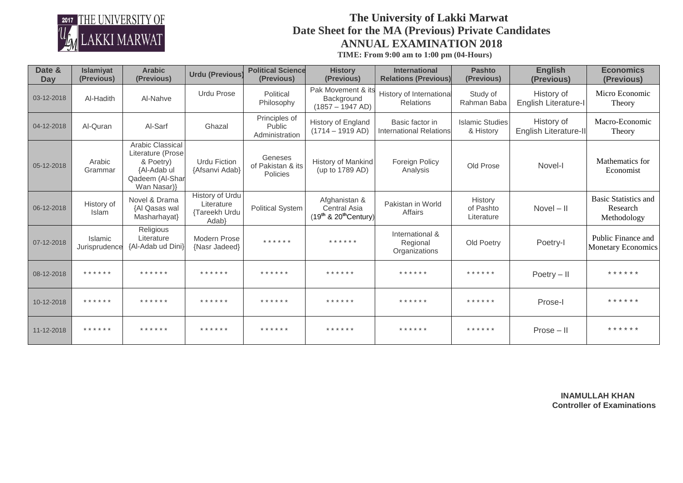

## **The University of Lakki Marwat Date Sheet for the MA (Previous) Private Candidates ANNUAL EXAMINATION 2018**

 **TIME: From 9:00 am to 1:00 pm (04-Hours)**

| Date &<br>Day | Islamiyat<br>(Previous)    | <b>Arabic</b><br>(Previous)                                                                         | <b>Urdu (Previous)</b>                                  | <b>Political Science</b><br>(Previous)    | <b>History</b><br>(Previous)                                         | <b>International</b><br><b>Relations (Previous)</b> | <b>Pashto</b><br>(Previous)         | <b>English</b><br>(Previous)        | <b>Economics</b><br>(Previous)                         |
|---------------|----------------------------|-----------------------------------------------------------------------------------------------------|---------------------------------------------------------|-------------------------------------------|----------------------------------------------------------------------|-----------------------------------------------------|-------------------------------------|-------------------------------------|--------------------------------------------------------|
| 03-12-2018    | Al-Hadith                  | Al-Nahve                                                                                            | <b>Urdu Prose</b>                                       | Political<br>Philosophy                   | Pak Movement & its<br>Background<br>$(1857 - 1947 \text{ AD})$       | History of International<br><b>Relations</b>        | Study of<br>Rahman Baba             | History of<br>English Literature-I  | Micro Economic<br>Theory                               |
| 04-12-2018    | Al-Quran                   | Al-Sarf                                                                                             | Ghazal                                                  | Principles of<br>Public<br>Administration | <b>History of England</b><br>$(1714 - 1919$ AD)                      | Basic factor in<br><b>International Relations</b>   | <b>Islamic Studies</b><br>& History | History of<br>English Literature-II | Macro-Economic<br>Theory                               |
| 05-12-2018    | Arabic<br>Grammar          | Arabic Classical<br>Literature (Prose<br>& Poetry)<br>{Al-Adab ul<br>Qadeem (Al-Shar<br>Wan Nasar)} | Urdu Fiction<br>{Afsanvi Adab}                          | Geneses<br>of Pakistan & its<br>Policies  | <b>History of Mankind</b><br>(up to 1789 AD)                         | Foreign Policy<br>Analysis                          | Old Prose                           | Novel-I                             | Mathematics for<br>Economist                           |
| 06-12-2018    | History of<br><b>Islam</b> | Novel & Drama<br>{Al Qasas wal<br>Masharhayat}                                                      | History of Urdu<br>Literature<br>{Tareekh Urdu<br>Adab} | <b>Political System</b>                   | Afghanistan &<br>Central Asia<br>$(19th$ & 20 <sup>th</sup> Century) | Pakistan in World<br>Affairs                        | History<br>of Pashto<br>Literature  | $Novel - II$                        | <b>Basic Statistics and</b><br>Research<br>Methodology |
| 07-12-2018    | Islamic<br>Jurisprudence   | Religious<br>Literature<br>{Al-Adab ud Dini}                                                        | Modern Prose<br>{Nasr Jadeed}                           | * * * * * *                               | * * * * * *                                                          | International &<br>Regional<br>Organizations        | Old Poetry                          | Poetry-I                            | Public Finance and<br><b>Monetary Economics</b>        |
| 08-12-2018    | * * * * * *                | * * * * * *                                                                                         | * * * * * *                                             | * * * * * *                               | * * * * * *                                                          | * * * * * *                                         | * * * * * *                         | $Poetry - II$                       | * * * * * *                                            |
| 10-12-2018    | * * * * * *                | * * * * * *                                                                                         | * * * * * *                                             | * * * * * *                               | * * * * * *                                                          | * * * * * *                                         | * * * * * *                         | Prose-I                             | * * * * * *                                            |
| 11-12-2018    | * * * * * *                | * * * * * *                                                                                         | * * * * * *                                             | * * * * * *                               | * * * * * *                                                          | * * * * * *                                         | * * * * * *                         | $Prose - II$                        | * * * * * *                                            |

 **INAMULLAH KHAN Controller of Examinations**